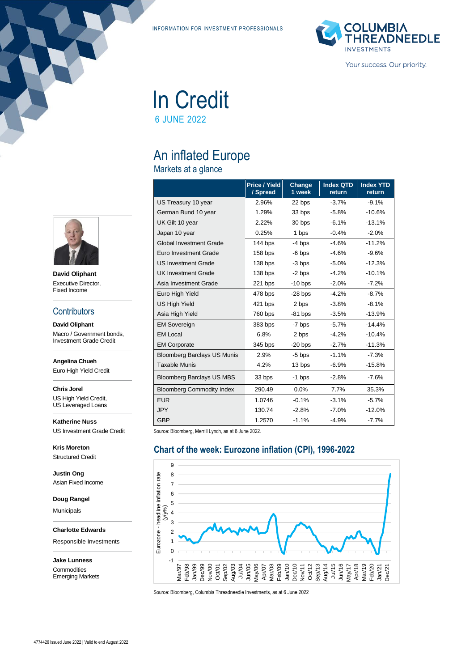INFORMATION FOR INVESTMENT PROFESSIONALS



Your success. Our priority.

# In Credit

6 JUNE 2022

## An inflated Europe

Markets at a glance

|                                    | Price / Yield<br>/ Spread | Change<br>1 week | <b>Index QTD</b><br>return | <b>Index YTD</b><br>return |
|------------------------------------|---------------------------|------------------|----------------------------|----------------------------|
| US Treasury 10 year                | 2.96%                     | 22 bps           | $-3.7%$                    | $-9.1%$                    |
| German Bund 10 year                | 1.29%                     | 33 bps           | $-5.8%$                    | $-10.6%$                   |
| UK Gilt 10 year                    | 2.22%                     | 30 bps           | $-6.1%$                    | $-13.1%$                   |
| Japan 10 year                      | 0.25%                     | 1 bps            | $-0.4%$                    | $-2.0%$                    |
| <b>Global Investment Grade</b>     | 144 bps                   | $-4$ bps         | $-4.6%$                    | $-11.2%$                   |
| Euro Investment Grade              | 158 bps                   | $-6$ bps         | $-4.6%$                    | $-9.6%$                    |
| <b>US Investment Grade</b>         | $138$ bps                 | -3 bps           | $-5.0\%$                   | $-12.3%$                   |
| <b>UK Investment Grade</b>         | 138 bps                   | $-2$ bps         | $-4.2%$                    | $-10.1%$                   |
| Asia Investment Grade              | $221$ bps                 | $-10$ bps        | $-2.0%$                    | $-7.2%$                    |
| Euro High Yield                    | 478 bps                   | $-28$ bps        | $-4.2%$                    | $-8.7%$                    |
| <b>US High Yield</b>               | 421 bps                   | 2 bps            | $-3.8%$                    | $-8.1%$                    |
| Asia High Yield                    | 760 bps                   | $-81$ bps        | $-3.5%$                    | $-13.9%$                   |
| <b>EM Sovereign</b>                | 383 bps                   | -7 bps           | $-5.7%$                    | $-14.4%$                   |
| <b>EM Local</b>                    | 6.8%                      | 2 bps            | $-4.2%$                    | $-10.4%$                   |
| <b>EM Corporate</b>                | 345 bps                   | $-20$ bps        | $-2.7%$                    | $-11.3%$                   |
| <b>Bloomberg Barclays US Munis</b> | 2.9%                      | $-5$ bps         | $-1.1%$                    | $-7.3%$                    |
| <b>Taxable Munis</b>               | 4.2%                      | 13 bps           | $-6.9%$                    | $-15.8%$                   |
| <b>Bloomberg Barclays US MBS</b>   | 33 bps                    | $-1$ bps         | $-2.8%$                    | $-7.6%$                    |
| <b>Bloomberg Commodity Index</b>   | 290.49                    | 0.0%             | 7.7%                       | 35.3%                      |
| <b>EUR</b>                         | 1.0746                    | $-0.1%$          | $-3.1%$                    | $-5.7%$                    |
| <b>JPY</b>                         | 130.74                    | $-2.8%$          | $-7.0%$                    | $-12.0%$                   |
| <b>GBP</b>                         | 1.2570                    | $-1.1%$          | $-4.9%$                    | $-7.7%$                    |

Source: Bloomberg, Merrill Lynch, as at 6 June 2022.

#### **Chart of the week: Eurozone inflation (CPI), 1996-2022**



Source: Bloomberg, Columbia Threadneedle Investments, as at 6 June 2022



**David Oliphant** Executive Director, Fixed Income

#### **Contributors**

**David Oliphant** Macro / Government bonds, Investment Grade Credit

**Angelina Chueh**

Euro High Yield Credit

**Chris Jorel** US High Yield Credit,

US Leveraged Loans

**Katherine Nuss** US Investment Grade Credit

**Kris Moreton** Structured Credit

**Justin Ong** Asian Fixed Income

**Doug Rangel**

Municipals

**Charlotte Edwards**

Responsible Investments

**Jake Lunness Commodities** Emerging Markets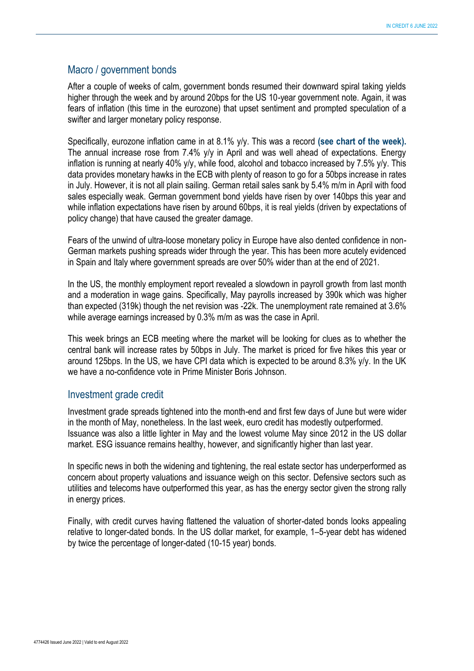#### Macro / government bonds

After a couple of weeks of calm, government bonds resumed their downward spiral taking yields higher through the week and by around 20bps for the US 10-year government note. Again, it was fears of inflation (this time in the eurozone) that upset sentiment and prompted speculation of a swifter and larger monetary policy response.

Specifically, eurozone inflation came in at 8.1% y/y. This was a record **(see chart of the week).**  The annual increase rose from 7.4% y/y in April and was well ahead of expectations. Energy inflation is running at nearly 40% y/y, while food, alcohol and tobacco increased by 7.5% y/y. This data provides monetary hawks in the ECB with plenty of reason to go for a 50bps increase in rates in July. However, it is not all plain sailing. German retail sales sank by 5.4% m/m in April with food sales especially weak. German government bond yields have risen by over 140bps this year and while inflation expectations have risen by around 60bps, it is real yields (driven by expectations of policy change) that have caused the greater damage.

Fears of the unwind of ultra-loose monetary policy in Europe have also dented confidence in non-German markets pushing spreads wider through the year. This has been more acutely evidenced in Spain and Italy where government spreads are over 50% wider than at the end of 2021.

In the US, the monthly employment report revealed a slowdown in payroll growth from last month and a moderation in wage gains. Specifically, May payrolls increased by 390k which was higher than expected (319k) though the net revision was -22k. The unemployment rate remained at 3.6% while average earnings increased by 0.3% m/m as was the case in April.

This week brings an ECB meeting where the market will be looking for clues as to whether the central bank will increase rates by 50bps in July. The market is priced for five hikes this year or around 125bps. In the US, we have CPI data which is expected to be around 8.3% y/y. In the UK we have a no-confidence vote in Prime Minister Boris Johnson.

#### Investment grade credit

Investment grade spreads tightened into the month-end and first few days of June but were wider in the month of May, nonetheless. In the last week, euro credit has modestly outperformed. Issuance was also a little lighter in May and the lowest volume May since 2012 in the US dollar market. ESG issuance remains healthy, however, and significantly higher than last year.

In specific news in both the widening and tightening, the real estate sector has underperformed as concern about property valuations and issuance weigh on this sector. Defensive sectors such as utilities and telecoms have outperformed this year, as has the energy sector given the strong rally in energy prices.

Finally, with credit curves having flattened the valuation of shorter-dated bonds looks appealing relative to longer-dated bonds. In the US dollar market, for example, 1–5-year debt has widened by twice the percentage of longer-dated (10-15 year) bonds.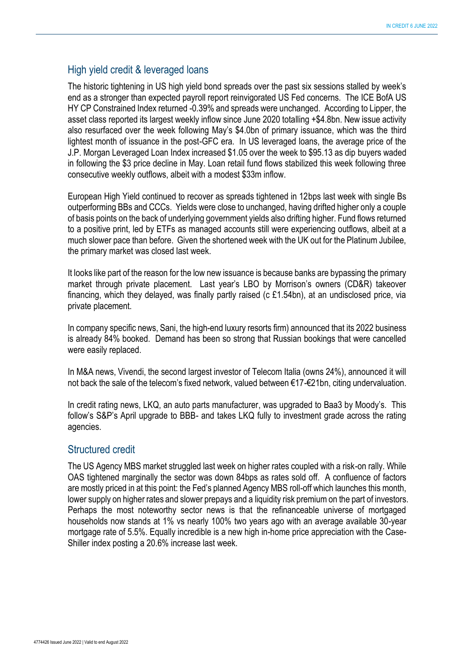#### High yield credit & leveraged loans

The historic tightening in US high yield bond spreads over the past six sessions stalled by week's end as a stronger than expected payroll report reinvigorated US Fed concerns. The ICE BofA US HY CP Constrained Index returned -0.39% and spreads were unchanged. According to Lipper, the asset class reported its largest weekly inflow since June 2020 totalling +\$4.8bn. New issue activity also resurfaced over the week following May's \$4.0bn of primary issuance, which was the third lightest month of issuance in the post-GFC era. In US leveraged loans, the average price of the J.P. Morgan Leveraged Loan Index increased \$1.05 over the week to \$95.13 as dip buyers waded in following the \$3 price decline in May. Loan retail fund flows stabilized this week following three consecutive weekly outflows, albeit with a modest \$33m inflow.

European High Yield continued to recover as spreads tightened in 12bps last week with single Bs outperforming BBs and CCCs. Yields were close to unchanged, having drifted higher only a couple of basis points on the back of underlying government yields also drifting higher. Fund flows returned to a positive print, led by ETFs as managed accounts still were experiencing outflows, albeit at a much slower pace than before. Given the shortened week with the UK out for the Platinum Jubilee, the primary market was closed last week.

It looks like part of the reason for the low new issuance is because banks are bypassing the primary market through private placement. Last year's LBO by Morrison's owners (CD&R) takeover financing, which they delayed, was finally partly raised (c £1.54bn), at an undisclosed price, via private placement.

In company specific news, Sani, the high-end luxury resorts firm) announced that its 2022 business is already 84% booked. Demand has been so strong that Russian bookings that were cancelled were easily replaced.

In M&A news, Vivendi, the second largest investor of Telecom Italia (owns 24%), announced it will not back the sale of the telecom's fixed network, valued between €17-€21bn, citing undervaluation.

In credit rating news, LKQ, an auto parts manufacturer, was upgraded to Baa3 by Moody's. This follow's S&P's April upgrade to BBB- and takes LKQ fully to investment grade across the rating agencies.

#### Structured credit

The US Agency MBS market struggled last week on higher rates coupled with a risk-on rally. While OAS tightened marginally the sector was down 84bps as rates sold off. A confluence of factors are mostly priced in at this point: the Fed's planned Agency MBS roll-off which launches this month, lower supply on higher rates and slower prepays and a liquidity risk premium on the part of investors. Perhaps the most noteworthy sector news is that the refinanceable universe of mortgaged households now stands at 1% vs nearly 100% two years ago with an average available 30-year mortgage rate of 5.5%. Equally incredible is a new high in-home price appreciation with the Case-Shiller index posting a 20.6% increase last week.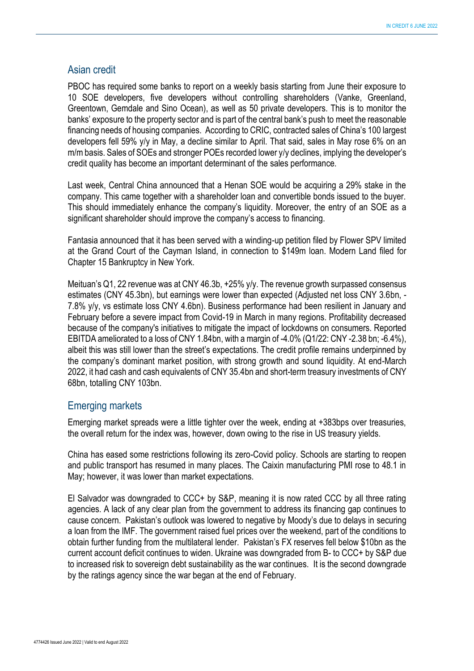#### Asian credit

PBOC has required some banks to report on a weekly basis starting from June their exposure to 10 SOE developers, five developers without controlling shareholders (Vanke, Greenland, Greentown, Gemdale and Sino Ocean), as well as 50 private developers. This is to monitor the banks' exposure to the property sector and is part of the central bank's push to meet the reasonable financing needs of housing companies. According to CRIC, contracted sales of China's 100 largest developers fell 59% y/y in May, a decline similar to April. That said, sales in May rose 6% on an m/m basis. Sales of SOEs and stronger POEs recorded lower y/y declines, implying the developer's credit quality has become an important determinant of the sales performance.

Last week, Central China announced that a Henan SOE would be acquiring a 29% stake in the company. This came together with a shareholder loan and convertible bonds issued to the buyer. This should immediately enhance the company's liquidity. Moreover, the entry of an SOE as a significant shareholder should improve the company's access to financing.

Fantasia announced that it has been served with a winding-up petition filed by Flower SPV limited at the Grand Court of the Cayman Island, in connection to \$149m loan. Modern Land filed for Chapter 15 Bankruptcy in New York.

Meituan's Q1, 22 revenue was at CNY 46.3b, +25% y/y. The revenue growth surpassed consensus estimates (CNY 45.3bn), but earnings were lower than expected (Adjusted net loss CNY 3.6bn, - 7.8% y/y, vs estimate loss CNY 4.6bn). Business performance had been resilient in January and February before a severe impact from Covid-19 in March in many regions. Profitability decreased because of the company's initiatives to mitigate the impact of lockdowns on consumers. Reported EBITDA ameliorated to a loss of CNY 1.84bn, with a margin of -4.0% (Q1/22: CNY -2.38 bn; -6.4%), albeit this was still lower than the street's expectations. The credit profile remains underpinned by the company's dominant market position, with strong growth and sound liquidity. At end-March 2022, it had cash and cash equivalents of CNY 35.4bn and short-term treasury investments of CNY 68bn, totalling CNY 103bn.

#### Emerging markets

Emerging market spreads were a little tighter over the week, ending at +383bps over treasuries, the overall return for the index was, however, down owing to the rise in US treasury yields.

China has eased some restrictions following its zero-Covid policy. Schools are starting to reopen and public transport has resumed in many places. The Caixin manufacturing PMI rose to 48.1 in May; however, it was lower than market expectations.

El Salvador was downgraded to CCC+ by S&P, meaning it is now rated CCC by all three rating agencies. A lack of any clear plan from the government to address its financing gap continues to cause concern. Pakistan's outlook was lowered to negative by Moody's due to delays in securing a loan from the IMF. The government raised fuel prices over the weekend, part of the conditions to obtain further funding from the multilateral lender. Pakistan's FX reserves fell below \$10bn as the current account deficit continues to widen. Ukraine was downgraded from B- to CCC+ by S&P due to increased risk to sovereign debt sustainability as the war continues. It is the second downgrade by the ratings agency since the war began at the end of February.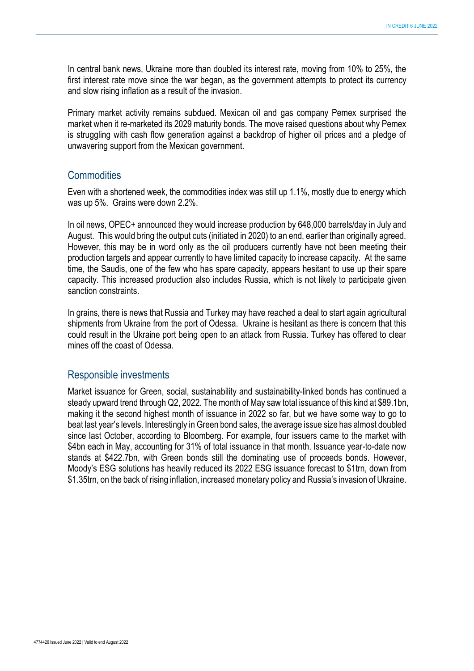In central bank news, Ukraine more than doubled its interest rate, moving from 10% to 25%, the first interest rate move since the war began, as the government attempts to protect its currency and slow rising inflation as a result of the invasion.

Primary market activity remains subdued. Mexican oil and gas company Pemex surprised the market when it re-marketed its 2029 maturity bonds. The move raised questions about why Pemex is struggling with cash flow generation against a backdrop of higher oil prices and a pledge of unwavering support from the Mexican government.

#### **Commodities**

Even with a shortened week, the commodities index was still up 1.1%, mostly due to energy which was up 5%. Grains were down 2.2%.

In oil news, OPEC+ announced they would increase production by 648,000 barrels/day in July and August. This would bring the output cuts (initiated in 2020) to an end, earlier than originally agreed. However, this may be in word only as the oil producers currently have not been meeting their production targets and appear currently to have limited capacity to increase capacity. At the same time, the Saudis, one of the few who has spare capacity, appears hesitant to use up their spare capacity. This increased production also includes Russia, which is not likely to participate given sanction constraints.

In grains, there is news that Russia and Turkey may have reached a deal to start again agricultural shipments from Ukraine from the port of Odessa. Ukraine is hesitant as there is concern that this could result in the Ukraine port being open to an attack from Russia. Turkey has offered to clear mines off the coast of Odessa.

#### Responsible investments

Market issuance for Green, social, sustainability and sustainability-linked bonds has continued a steady upward trend through Q2, 2022. The month of May saw total issuance of this kind at \$89.1bn, making it the second highest month of issuance in 2022 so far, but we have some way to go to beat last year's levels. Interestingly in Green bond sales, the average issue size has almost doubled since last October, according to Bloomberg. For example, four issuers came to the market with \$4bn each in May, accounting for 31% of total issuance in that month. Issuance year-to-date now stands at \$422.7bn, with Green bonds still the dominating use of proceeds bonds. However, Moody's ESG solutions has heavily reduced its 2022 ESG issuance forecast to \$1trn, down from \$1.35trn, on the back of rising inflation, increased monetary policy and Russia's invasion of Ukraine.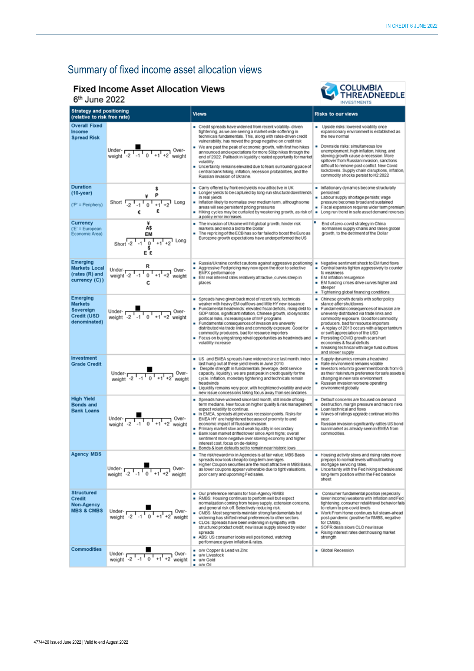### Summary of fixed income asset allocation views

#### **Fixed Income Asset Allocation Views**





| UUIIG LULL<br>INVESTMENTS                                              |                                                                                               |                                                                                                                                                                                                                                                                                                                                                                                                                                                                                                                                                                                                                                                   |                                                                                                                                                                                                                                                                                                                                                                                                                                                                                          |  |  |
|------------------------------------------------------------------------|-----------------------------------------------------------------------------------------------|---------------------------------------------------------------------------------------------------------------------------------------------------------------------------------------------------------------------------------------------------------------------------------------------------------------------------------------------------------------------------------------------------------------------------------------------------------------------------------------------------------------------------------------------------------------------------------------------------------------------------------------------------|------------------------------------------------------------------------------------------------------------------------------------------------------------------------------------------------------------------------------------------------------------------------------------------------------------------------------------------------------------------------------------------------------------------------------------------------------------------------------------------|--|--|
| <b>Strategy and positioning</b><br>(relative to risk free rate)        |                                                                                               | <b>Views</b>                                                                                                                                                                                                                                                                                                                                                                                                                                                                                                                                                                                                                                      | <b>Risks to our views</b>                                                                                                                                                                                                                                                                                                                                                                                                                                                                |  |  |
| <b>Overall Fixed</b><br>Income<br><b>Spread Risk</b>                   | Under- $\frac{1}{\sqrt{2^{1}-1}+1+2}$ Over-<br>weight -2 -1 0 +1 +2 weight                    | Credit spreads have widened from recent volatility- driven<br>tightening, as we are seeing a market-wide softening in<br>technicals fundamentals. This, along with rates-driven credit<br>vulnerability, has moved the group negative on credit risk<br>We are past the peak of economic growth, with first two hikes<br>٠<br>announced and expectations for more 50bp hikes through the<br>end of 2022. Pullback in liquidity created opportunity for market<br>volatility.<br>Uncertainty remains elevated due to fears surrounding pace of<br>central bank hiking, inflation, recession probabilities, and the<br>Russian invasion of Ukraine. | Upside risks: lowered volatility once<br>expansionary environment is established as<br>the new normal<br>Downside risks: simultaneous low<br>unemployment, high inflation, hiking, and<br>slowing growth cause a recession. More<br>spillover from Russian invasion, sanctions<br>difficult to remove post-conflict. New Covid<br>lockdowns. Supply chain disruptions, inflation,<br>commodity shocks persist to H2 2022                                                                 |  |  |
| <b>Duration</b><br>$(10-year)$<br>$(P' = Periphery)$                   | s<br>Short $\frac{1}{2}$ , $\frac{1}{10}$<br>$+2$ Long<br>$+1$<br>£<br>€                      | Carry offered by front end yields now attractive in UK<br>Longer yields to be captured by long-run structural downtrends<br>in real vields<br>Inflation likely to normalize over medium term, although some<br>areas will see persistent pricing pressures<br>Hiking cycles may be curtailed by weakening growth, as risk of<br>a policy error increases                                                                                                                                                                                                                                                                                          | Inflationary dynamics become structurally<br>persistent<br>Labour supply shortage persists; wage<br>pressure becomes broad and sustained<br>Fiscal expansion requires wider term premium<br>Long run trend in safe asset demand reverses                                                                                                                                                                                                                                                 |  |  |
| Currency<br>$(E' = European$<br>Economic Area)                         | Á\$<br>EM<br>1 Long<br>Short $-2$ $-1$<br>$\overset{0}{\mathsf{s}}$<br>Ε£                     | The invasion of Ukraine will hit global growth, hinder risk<br>markets and lend a bid to the Dollar<br>The repricing of the ECB has so far failed to boost the Euro as<br>٠<br>Eurozone growth expectations have underperformed the US                                                                                                                                                                                                                                                                                                                                                                                                            | End of zero-covid strategy in China<br>normalises supply chains and raises global<br>growth, to the detriment of the Dollar                                                                                                                                                                                                                                                                                                                                                              |  |  |
| Emerging<br><b>Markets Local</b><br>(rates (R) and<br>currency (C))    | Under- $\frac{1}{1}$<br>weight -2 $\frac{1}{1}$ -1 $\frac{1}{0}$ +1 +2<br>Over-<br>weight     | Russia/Ukraine conflict cautions against aggressive positioning<br>Aggressive Fed pricing may now open the door to selective<br>EMFX performance<br>EM real interest rates relatively attractive, curves steep in<br>places                                                                                                                                                                                                                                                                                                                                                                                                                       | Negative sentiment shock to EM fund flows<br>۰<br>Central banks tighten aggressively to counter<br>fx weakness<br>EM inflation resurgence<br>EM funding crises drive curves higher and<br>steeper<br>Tightening global financing conditions                                                                                                                                                                                                                                              |  |  |
| Emerging<br><b>Markets</b><br>Sovereign<br>Credit (USD<br>denominated) | Under- $\frac{1}{\sqrt{1-1}+1+2}$ Over-<br>weight -2 -1 0 +1 +2 weight                        | Spreads have given back most of recent raily, technicals<br>weaker with heavy EM outflows and little HY new issuance<br>Fundamental headwinds: elevated fiscal deficits, rising debt to<br>GDP ratios, significant inflation, Chinese growth, idiosyncratic<br>political risks, increasing use of IMF programs<br>Fundamental consequences of invasion are uneverly<br>distributed via trade links and commodity exposure. Good for<br>commodity producers, bad for resource importers<br>Focus on buying strong relval opportunities as headwinds and<br>٠<br>volatility increase                                                                | - Chinese growth derails with softer policy<br>stance after shutdowns<br>Fundamental consequences of invasion are<br>۰<br>unevenly distributed via trade links and<br>commodity exposure. Good for commodity<br>producers, bad for resource importers<br>A replay of 2013 occurs with a taper tantrum<br>۰<br>or swift appreciation of the USD<br>Persisting COVID growth scars hurt<br>economies & fiscal deficits<br>- Weaking technical with large fund outflows<br>and slower supply |  |  |
| Investment<br><b>Grade Credit</b>                                      | Under- $\frac{1}{2 \cdot 1 \cdot 1 \cdot 0 \cdot 1 + 1 \cdot 2}$ Over-                        | US and EMEA spreads have widened since last month. Index<br>last hung out at these yield levels in June 2010.<br>Despite strength in fundamentals (leverage, debt service<br>capacity, liquidity), we are past peak in credit quality for the<br>cycle. Inflation, monetary tightening and technicals remain<br>headwinds<br>• Liquidity remains very poor, with heightened volatility and wide<br>new issue concessions taking focus away from secondaries.                                                                                                                                                                                      | Supply dynamics remain a headwind<br>٠<br>Rate environment remains volatile<br>Investors return to government bonds from IG<br>as their risk/retum preference for safe assets is<br>changing in new rate environment<br>Russian invasion worsens operating<br>environment globally                                                                                                                                                                                                       |  |  |
| <b>High Yield</b><br><b>Bonds and</b><br><b>Bank Loans</b>             | Under- $\frac{1}{2}$ , $\frac{1}{1}$ , $\frac{1}{0}$ , $\frac{1}{1}$ , $\frac{1}{2}$ , weight | Spreads have widened since last month, still inside of long-<br>term medians. New focus on higher quality & risk management,<br>expect volatility to continue.<br>In EMEA, spreads at previous recession points. Risks for<br>EMEA HY are heightened because of proximity to and<br>economic impact of Russian invasion.<br>Primary market slow and weak liquidity in secondary<br>٠<br>Bank loan market drifted lower since April highs; overall<br>sentiment more negative over slowing economy and higher<br>interest cost, focus on de-risking<br>Bonds & loan defaults set to remain near historic lows                                      | Default concerns are focused on demand<br>destruction, margin pressure and macro risks<br>Loan technical and flows<br>٠<br>- Waves of ratings upgrade continue into this<br>year<br>Russian invasion significantly rattles US bond<br>٠<br>loan/market as already seen in EMEA from<br>commodities.                                                                                                                                                                                      |  |  |
| <b>Agency MBS</b>                                                      | Under-<br>Over-<br>$+1' +2$<br>weight                                                         | The risk/reward mix in Agencies is at fair value; MBS Basis<br>spreads now look cheap to long-term averages.<br>Higher Coupon securities are the most attractive in MBS Basis,<br>as lower coupons appear vulnerable due to tight valuations,<br>poor carry and upcoming Fed sales.                                                                                                                                                                                                                                                                                                                                                               | Housing activity slows and rising rates move<br>prepays to normal levels without hurting<br>mortgage servicing rates.<br>Uncertainty with the Fed hiking schedule and<br>long-term position within the Fed balance<br>sheet                                                                                                                                                                                                                                                              |  |  |
| <b>Structured</b><br>Credit<br>Non-Agency<br><b>MBS &amp; CMBS</b>     | Under- $\frac{1}{\text{Weight}}$ -1 $\frac{1}{0}$ +1 +2 weight                                | Our preference remains for Non-Agency RMBS<br>RMBS: Housing continues to perform well but expect<br>normalization coming from heavy supply, extension concerns.<br>and general risk off. Selectively reducing risk.<br>CMBS: Most segments maintain strong fundamentals but<br>widening has shifted relval preferences to other sectors.<br>CLOs: Spreads have been widening in sympathy with<br>structured product credit; new issue supply slowed by wider<br>spreads<br>ABS: US consumer looks well positioned, watching<br>performance given inflation & rates.                                                                               | Consumer fundamental position (especially<br>lower income) weakens with inflation and Fed<br>tightening, consumer retail/travel behavior fails<br>to return to pre-covid levels<br>■ Work From Home continues full steam-ahead<br>post-pandemic (positive for RMBS, negative<br>for CMBS)<br>SOFR deals slows CLO new issue<br>Rising interest rates dent housing market<br>strength                                                                                                     |  |  |
| <b>Commodities</b>                                                     | Under-<br>, Over-<br>$L_{-1}$<br>weight -2<br>$^{\circ}$<br>weight                            | o/w Copper & Lead vs Zinc<br>u/w Livestock<br>· u/w Gold<br>• O/W Oil                                                                                                                                                                                                                                                                                                                                                                                                                                                                                                                                                                             | Global Recession                                                                                                                                                                                                                                                                                                                                                                                                                                                                         |  |  |